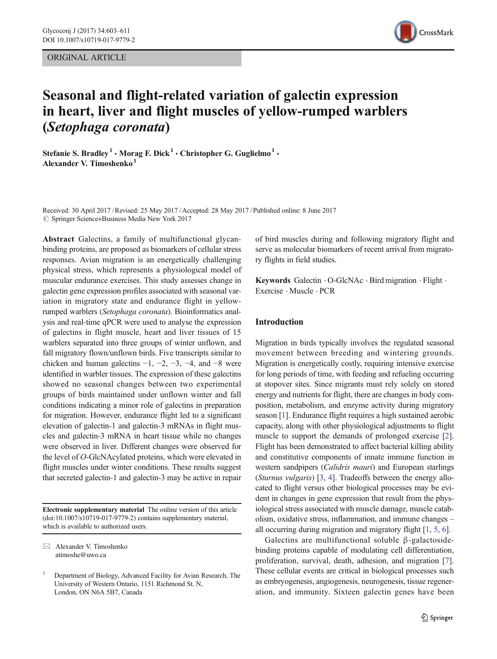ORIGINAL ARTICLE



# Seasonal and flight-related variation of galectin expression in heart, liver and flight muscles of yellow-rumped warblers (Setophaga coronata)

Stefanie S. Bradley<sup>1</sup> · Morag F. Dick<sup>1</sup> · Christopher G. Guglielmo<sup>1</sup> · Alexander V. Timoshenko $<sup>1</sup>$ </sup>

Received: 30 April 2017 /Revised: 25 May 2017 /Accepted: 28 May 2017 /Published online: 8 June 2017  $\circled{c}$  Springer Science+Business Media New York 2017

Abstract Galectins, a family of multifunctional glycanbinding proteins, are proposed as biomarkers of cellular stress responses. Avian migration is an energetically challenging physical stress, which represents a physiological model of muscular endurance exercises. This study assesses change in galectin gene expression profiles associated with seasonal variation in migratory state and endurance flight in yellowrumped warblers (Setophaga coronata). Bioinformatics analysis and real-time qPCR were used to analyse the expression of galectins in flight muscle, heart and liver tissues of 15 warblers separated into three groups of winter unflown, and fall migratory flown/unflown birds. Five transcripts similar to chicken and human galectins  $-1$ ,  $-2$ ,  $-3$ ,  $-4$ , and  $-8$  were identified in warbler tissues. The expression of these galectins showed no seasonal changes between two experimental groups of birds maintained under unflown winter and fall conditions indicating a minor role of galectins in preparation for migration. However, endurance flight led to a significant elevation of galectin-1 and galectin-3 mRNAs in flight muscles and galectin-3 mRNA in heart tissue while no changes were observed in liver. Different changes were observed for the level of O-GlcNAcylated proteins, which were elevated in flight muscles under winter conditions. These results suggest that secreted galectin-1 and galectin-3 may be active in repair

Electronic supplementary material The online version of this article (doi[:10.1007/s10719-017-9779-2](http://dx.doi.org/10.1007/s10719-017-9779-2)) contains supplementary material, which is available to authorized users.

 $\boxtimes$  Alexander V. Timoshenko atimoshe@uwo.ca

of bird muscles during and following migratory flight and serve as molecular biomarkers of recent arrival from migratory flights in field studies.

Keywords Galectin · O-GlcNAc · Bird migration · Flight · Exercise . Muscle . PCR

# Introduction

Migration in birds typically involves the regulated seasonal movement between breeding and wintering grounds. Migration is energetically costly, requiring intensive exercise for long periods of time, with feeding and refueling occurring at stopover sites. Since migrants must rely solely on stored energy and nutrients for flight, there are changes in body composition, metabolism, and enzyme activity during migratory season [[1](#page-6-0)]. Endurance flight requires a high sustained aerobic capacity, along with other physiological adjustments to flight muscle to support the demands of prolonged exercise [[2\]](#page-6-0). Flight has been demonstrated to affect bacterial killing ability and constitutive components of innate immune function in western sandpipers (*Calidris mauri*) and European starlings (Sturnus vulgaris) [\[3,](#page-7-0) [4](#page-7-0)]. Tradeoffs between the energy allocated to flight versus other biological processes may be evident in changes in gene expression that result from the physiological stress associated with muscle damage, muscle catabolism, oxidative stress, inflammation, and immune changes – all occurring during migration and migratory flight [\[1,](#page-6-0) [5,](#page-7-0) [6\]](#page-7-0).

Galectins are multifunctional soluble β-galactosidebinding proteins capable of modulating cell differentiation, proliferation, survival, death, adhesion, and migration [\[7\]](#page-7-0). These cellular events are critical in biological processes such as embryogenesis, angiogenesis, neurogenesis, tissue regeneration, and immunity. Sixteen galectin genes have been

<sup>1</sup> Department of Biology, Advanced Facility for Avian Research, The University of Western Ontario, 1151 Richmond St. N, London, ON N6A 5B7, Canada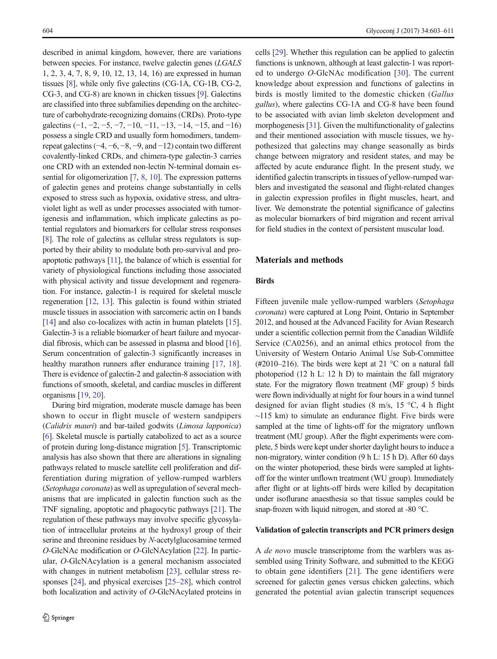described in animal kingdom, however, there are variations between species. For instance, twelve galectin genes (LGALS 1, 2, 3, 4, 7, 8, 9, 10, 12, 13, 14, 16) are expressed in human tissues [\[8](#page-7-0)], while only five galectins (CG-1A, CG-1B, CG-2, CG-3, and CG-8) are known in chicken tissues [[9\]](#page-7-0). Galectins are classified into three subfamilies depending on the architecture of carbohydrate-recognizing domains (CRDs). Proto-type galectins  $(-1, -2, -5, -7, -10, -11, -13, -14, -15,$  and  $-16)$ possess a single CRD and usually form homodimers, tandemrepeat galectins (−4, −6, −8, −9, and −12) contain two different covalently-linked CRDs, and chimera-type galectin-3 carries one CRD with an extended non-lectin N-terminal domain essential for oligomerization [\[7,](#page-7-0) [8,](#page-7-0) [10\]](#page-7-0). The expression patterns of galectin genes and proteins change substantially in cells exposed to stress such as hypoxia, oxidative stress, and ultraviolet light as well as under processes associated with tumorigenesis and inflammation, which implicate galectins as potential regulators and biomarkers for cellular stress responses [\[8](#page-7-0)]. The role of galectins as cellular stress regulators is supported by their ability to modulate both pro-survival and proapoptotic pathways [[11](#page-7-0)], the balance of which is essential for variety of physiological functions including those associated with physical activity and tissue development and regeneration. For instance, galectin-1 is required for skeletal muscle regeneration [\[12,](#page-7-0) [13\]](#page-7-0). This galectin is found within striated muscle tissues in association with sarcomeric actin on I bands [\[14\]](#page-7-0) and also co-localizes with actin in human platelets [[15\]](#page-7-0). Galectin-3 is a reliable biomarker of heart failure and myocardial fibrosis, which can be assessed in plasma and blood [[16\]](#page-7-0). Serum concentration of galectin-3 significantly increases in healthy marathon runners after endurance training [[17,](#page-7-0) [18\]](#page-7-0). There is evidence of galectin-2 and galectin-8 association with functions of smooth, skeletal, and cardiac muscles in different organisms [\[19](#page-7-0), [20\]](#page-7-0).

During bird migration, moderate muscle damage has been shown to occur in flight muscle of western sandpipers (Calidris mauri) and bar-tailed godwits (Limosa lapponica) [\[6](#page-7-0)]. Skeletal muscle is partially catabolized to act as a source of protein during long-distance migration [\[5](#page-7-0)]. Transcriptomic analysis has also shown that there are alterations in signaling pathways related to muscle satellite cell proliferation and differentiation during migration of yellow-rumped warblers (Setophaga coronata) as well as upregulation of several mechanisms that are implicated in galectin function such as the TNF signaling, apoptotic and phagocytic pathways [[21\]](#page-7-0). The regulation of these pathways may involve specific glycosylation of intracellular proteins at the hydroxyl group of their serine and threonine residues by N-acetylglucosamine termed O-GlcNAc modification or O-GlcNAcylation [\[22\]](#page-7-0). In particular, O-GlcNAcylation is a general mechanism associated with changes in nutrient metabolism [[23](#page-7-0)], cellular stress responses [[24\]](#page-7-0), and physical exercises [\[25](#page-7-0)–[28\]](#page-7-0), which control both localization and activity of O-GlcNAcylated proteins in cells [[29\]](#page-7-0). Whether this regulation can be applied to galectin functions is unknown, although at least galectin-1 was reported to undergo O-GlcNAc modification [[30](#page-7-0)]. The current knowledge about expression and functions of galectins in birds is mostly limited to the domestic chicken (Gallus gallus), where galectins CG-1A and CG-8 have been found to be associated with avian limb skeleton development and morphogenesis [\[31](#page-7-0)]. Given the multifunctionality of galectins and their mentioned association with muscle tissues, we hypothesized that galectins may change seasonally as birds change between migratory and resident states, and may be affected by acute endurance flight. In the present study, we identified galectin transcripts in tissues of yellow-rumped warblers and investigated the seasonal and flight-related changes in galectin expression profiles in flight muscles, heart, and liver. We demonstrate the potential significance of galectins as molecular biomarkers of bird migration and recent arrival for field studies in the context of persistent muscular load.

# Materials and methods

# Birds

Fifteen juvenile male yellow-rumped warblers (Setophaga coronata) were captured at Long Point, Ontario in September 2012, and housed at the Advanced Facility for Avian Research under a scientific collection permit from the Canadian Wildlife Service (CA0256), and an animal ethics protocol from the University of Western Ontario Animal Use Sub-Committee (#2010–216). The birds were kept at 21  $^{\circ}$ C on a natural fall photoperiod (12 h L: 12 h D) to maintain the fall migratory state. For the migratory flown treatment (MF group) 5 birds were flown individually at night for four hours in a wind tunnel designed for avian flight studies (8 m/s, 15 °C, 4 h flight  $\sim$ 115 km) to simulate an endurance flight. Five birds were sampled at the time of lights-off for the migratory unflown treatment (MU group). After the flight experiments were complete, 5 birds were kept under shorter daylight hours to induce a non-migratory, winter condition (9 h L: 15 h D). After 60 days on the winter photoperiod, these birds were sampled at lightsoff for the winter unflown treatment (WU group). Immediately after flight or at lights-off birds were killed by decapitation under isoflurane anaesthesia so that tissue samples could be snap-frozen with liquid nitrogen, and stored at -80 °C.

#### Validation of galectin transcripts and PCR primers design

A de novo muscle transcriptome from the warblers was assembled using Trinity Software, and submitted to the KEGG to obtain gene identifiers [[21](#page-7-0)]. The gene identifiers were screened for galectin genes versus chicken galectins, which generated the potential avian galectin transcript sequences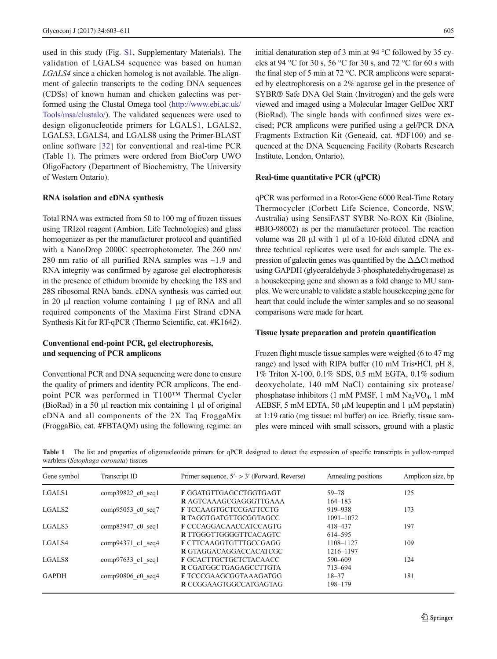<span id="page-2-0"></span>used in this study (Fig. S1, Supplementary Materials). The validation of LGALS4 sequence was based on human LGALS4 since a chicken homolog is not available. The alignment of galectin transcripts to the coding DNA sequences (CDSs) of known human and chicken galectins was performed using the Clustal Omega tool ([http://www.ebi.ac.uk/](http://www.ebi.ac.uk/Tools/msa/clustalo) [Tools/msa/clustalo/](http://www.ebi.ac.uk/Tools/msa/clustalo)). The validated sequences were used to design oligonucleotide primers for LGALS1, LGALS2, LGALS3, LGALS4, and LGALS8 using the Primer-BLAST online software [\[32](#page-7-0)] for conventional and real-time PCR (Table 1). The primers were ordered from BioCorp UWO OligoFactory (Department of Biochemistry, The University of Western Ontario).

## RNA isolation and cDNA synthesis

Total RNA was extracted from 50 to 100 mg of frozen tissues using TRIzol reagent (Ambion, Life Technologies) and glass homogenizer as per the manufacturer protocol and quantified with a NanoDrop 2000C spectrophotometer. The 260 nm/ 280 nm ratio of all purified RNA samples was ~1.9 and RNA integrity was confirmed by agarose gel electrophoresis in the presence of ethidum bromide by checking the 18S and 28S ribosomal RNA bands. cDNA synthesis was carried out in 20 μl reaction volume containing 1 μg of RNA and all required components of the Maxima First Strand cDNA Synthesis Kit for RT-qPCR (Thermo Scientific, cat. #K1642).

# Conventional end-point PCR, gel electrophoresis, and sequencing of PCR amplicons

Conventional PCR and DNA sequencing were done to ensure the quality of primers and identity PCR amplicons. The endpoint PCR was performed in T100™ Thermal Cycler (BioRad) in a 50 μl reaction mix containing 1 μl of original cDNA and all components of the 2X Taq FroggaMix (FroggaBio, cat. #FBTAQM) using the following regime: an initial denaturation step of 3 min at 94 °C followed by 35 cycles at 94 °C for 30 s, 56 °C for 30 s, and 72 °C for 60 s with the final step of 5 min at 72 °C. PCR amplicons were separated by electrophoresis on a 2% agarose gel in the presence of SYBR® Safe DNA Gel Stain (Invitrogen) and the gels were viewed and imaged using a Molecular Imager GelDoc XRT (BioRad). The single bands with confirmed sizes were excised; PCR amplicons were purified using a gel/PCR DNA Fragments Extraction Kit (Geneaid, cat. #DF100) and sequenced at the DNA Sequencing Facility (Robarts Research Institute, London, Ontario).

#### Real-time quantitative PCR (qPCR)

qPCR was performed in a Rotor-Gene 6000 Real-Time Rotary Thermocycler (Corbett Life Science, Concorde, NSW, Australia) using SensiFAST SYBR No-ROX Kit (Bioline, #BIO-98002) as per the manufacturer protocol. The reaction volume was 20 μl with 1 μl of a 10-fold diluted cDNA and three technical replicates were used for each sample. The expression of galectin genes was quantified by the  $\Delta\Delta$ Ct method using GAPDH (glyceraldehyde 3-phosphatedehydrogenase) as a housekeeping gene and shown as a fold change to MU samples. We were unable to validate a stable housekeeping gene for heart that could include the winter samples and so no seasonal comparisons were made for heart.

#### Tissue lysate preparation and protein quantification

Frozen flight muscle tissue samples were weighed (6 to 47 mg range) and lysed with RIPA buffer (10 mM Tris•HCl, pH 8, 1% Triton X-100, 0.1% SDS, 0.5 mM EGTA, 0.1% sodium deoxycholate, 140 mM NaCl) containing six protease/ phosphatase inhibitors (1 mM PMSF, 1 mM  $Na<sub>3</sub>VO<sub>4</sub>$ , 1 mM AEBSF, 5 mM EDTA, 50  $\mu$ M leupeptin and 1  $\mu$ M pepstatin) at 1:19 ratio (mg tissue: ml buffer) on ice. Briefly, tissue samples were minced with small scissors, ground with a plastic

Table 1 The list and properties of oligonucleotide primers for qPCR designed to detect the expression of specific transcripts in yellow-rumped warblers (Setophaga coronata) tissues

| Gene symbol        | Transcript ID       | Primer sequence, $5' > 3'$ (Forward, Reverse) | Annealing positions | Amplicon size, bp |
|--------------------|---------------------|-----------------------------------------------|---------------------|-------------------|
| LGALS1             | comp39822 c0 seq1   | F GGATGTTGAGCCTGGTGAGT                        | 59–78               | 125               |
|                    |                     | R AGTCAAAGCGAGGGTTGAAA                        | $164 - 183$         |                   |
| LGALS <sub>2</sub> | $comp95053$ c0 seq7 | F TCCAAGTGCTCCGATTCCTG                        | 919-938             | 173               |
|                    |                     | <b>R TAGGTGATGTTGCGGTAGCC</b>                 | $1091 - 1072$       |                   |
| LGALS3             | comp83947 c0 seq1   | F CCCAGGACAACCATCCAGTG                        | 418-437             | 197               |
|                    |                     | <b>R TTGGGTTGGGGTTCACAGTC</b>                 | 614-595             |                   |
| LGALS4             | comp94371 c1 seq4   | F CTTCAAGGTGTTTGCCGAGG                        | 1108-1127           | 109               |
|                    |                     | R GTAGGACAGGACCACATCGC                        | 1216-1197           |                   |
| LGALS8             | $comp97633$ c1 seq1 | <b>F GCACTTGCTGCTCTACAACC</b>                 | 590-609             | 124               |
|                    |                     | R CGATGGCTGAGAGCCTTGTA                        | 713-694             |                   |
| <b>GAPDH</b>       | comp90806 c0 seq4   | F TCCCGAAGCGGTAAAGATGG                        | $18 - 37$           | 181               |
|                    |                     | R CCGGAAGTGGCCATGAGTAG                        | 198-179             |                   |
|                    |                     |                                               |                     |                   |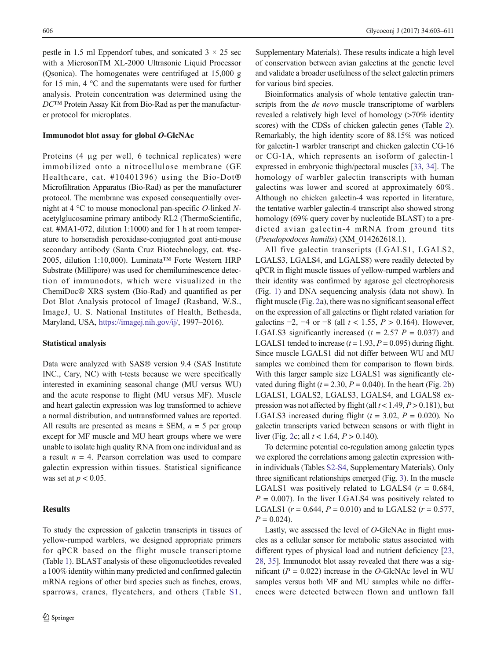pestle in 1.5 ml Eppendorf tubes, and sonicated  $3 \times 25$  sec with a MicrosonTM XL-2000 Ultrasonic Liquid Processor (Qsonica). The homogenates were centrifuged at 15,000 g for 15 min, 4 °C and the supernatants were used for further analysis. Protein concentration was determined using the DC™ Protein Assay Kit from Bio-Rad as per the manufacturer protocol for microplates.

## Immunodot blot assay for global O-GlcNAc

Proteins (4 μg per well, 6 technical replicates) were immobilized onto a nitrocellulose membrane (GE Healthcare, cat. #10401396) using the Bio-Dot® Microfiltration Apparatus (Bio-Rad) as per the manufacturer protocol. The membrane was exposed consequentially overnight at 4 °C to mouse monoclonal pan-specific O-linked Nacetylglucosamine primary antibody RL2 (ThermoScientific, cat. #MA1-072, dilution 1:1000) and for 1 h at room temperature to horseradish peroxidase-conjugated goat anti-mouse secondary antibody (Santa Cruz Biotechnology, cat. #sc-2005, dilution 1:10,000). Luminata™ Forte Western HRP Substrate (Millipore) was used for chemiluminescence detection of immunodots, which were visualized in the ChemiDoc® XRS system (Bio-Rad) and quantified as per Dot Blot Analysis protocol of ImageJ (Rasband, W.S., ImageJ, U. S. National Institutes of Health, Bethesda, Maryland, USA, [https://imagej.nih.gov/ij/,](https://imagej.nih.gov/ij) 1997–2016).

#### Statistical analysis

Data were analyzed with SAS® version 9.4 (SAS Institute INC., Cary, NC) with t-tests because we were specifically interested in examining seasonal change (MU versus WU) and the acute response to flight (MU versus MF). Muscle and heart galectin expression was log transformed to achieve a normal distribution, and untransformed values are reported. All results are presented as means  $\pm$  SEM,  $n = 5$  per group except for MF muscle and MU heart groups where we were unable to isolate high quality RNA from one individual and as a result  $n = 4$ . Pearson correlation was used to compare galectin expression within tissues. Statistical significance was set at  $p < 0.05$ .

# Results

To study the expression of galectin transcripts in tissues of yellow-rumped warblers, we designed appropriate primers for qPCR based on the flight muscle transcriptome (Table [1\)](#page-2-0). BLAST analysis of these oligonucleotides revealed a 100% identity within many predicted and confirmed galectin mRNA regions of other bird species such as finches, crows, sparrows, cranes, flycatchers, and others (Table S1,

Supplementary Materials). These results indicate a high level of conservation between avian galectins at the genetic level and validate a broader usefulness of the select galectin primers for various bird species.

Bioinformatics analysis of whole tentative galectin transcripts from the *de novo* muscle transcriptome of warblers revealed a relatively high level of homology (>70% identity scores) with the CDSs of chicken galectin genes (Table [2\)](#page-4-0). Remarkably, the high identity score of 88.15% was noticed for galectin-1 warbler transcript and chicken galectin CG-16 or CG-1A, which represents an isoform of galectin-1 expressed in embryonic thigh/pectoral muscles [[33](#page-7-0), [34\]](#page-7-0). The homology of warbler galectin transcripts with human galectins was lower and scored at approximately 60%. Although no chicken galectin-4 was reported in literature, the tentative warbler galectin-4 transcript also showed strong homology (69% query cover by nucleotide BLAST) to a predicted avian galectin-4 mRNA from ground tits (Pseudopodoces humilis) (XM\_014262618.1).

All five galectin transcripts (LGALS1, LGALS2, LGALS3, LGALS4, and LGALS8) were readily detected by qPCR in flight muscle tissues of yellow-rumped warblers and their identity was confirmed by agarose gel electrophoresis (Fig. [1\)](#page-4-0) and DNA sequencing analysis (data not show). In flight muscle (Fig. [2a](#page-4-0)), there was no significant seasonal effect on the expression of all galectins or flight related variation for galectins  $-2$ ,  $-4$  or  $-8$  (all  $t < 1.55$ ,  $P > 0.164$ ). However, LGALS3 significantly increased ( $t = 2.57$  P = 0.037) and LGALS1 tended to increase  $(t = 1.93, P = 0.095)$  during flight. Since muscle LGALS1 did not differ between WU and MU samples we combined them for comparison to flown birds. With this larger sample size LGALS1 was significantly elevated during flight ( $t = 2.30$  $t = 2.30$  $t = 2.30$ ,  $P = 0.040$ ). In the heart (Fig. 2b) LGALS1, LGALS2, LGALS3, LGALS4, and LGALS8 expression was not affected by flight (all  $t < 1.49, P > 0.181$ ), but LGALS3 increased during flight ( $t = 3.02$ ,  $P = 0.020$ ). No galectin transcripts varied between seasons or with flight in liver (Fig. [2](#page-4-0)c; all  $t < 1.64$ ,  $P > 0.140$ ).

To determine potential co-regulation among galectin types we explored the correlations among galectin expression within individuals (Tables S2-S4, Supplementary Materials). Only three significant relationships emerged (Fig. [3\)](#page-5-0). In the muscle LGALS1 was positively related to LGALS4 ( $r = 0.684$ ,  $P = 0.007$ ). In the liver LGALS4 was positively related to LGALS1 ( $r = 0.644$ ,  $P = 0.010$ ) and to LGALS2 ( $r = 0.577$ ,  $P = 0.024$ .

Lastly, we assessed the level of O-GlcNAc in flight muscles as a cellular sensor for metabolic status associated with different types of physical load and nutrient deficiency [\[23,](#page-7-0) [28,](#page-7-0) [35](#page-7-0)]. Immunodot blot assay revealed that there was a significant ( $P = 0.022$ ) increase in the O-GlcNAc level in WU samples versus both MF and MU samples while no differences were detected between flown and unflown fall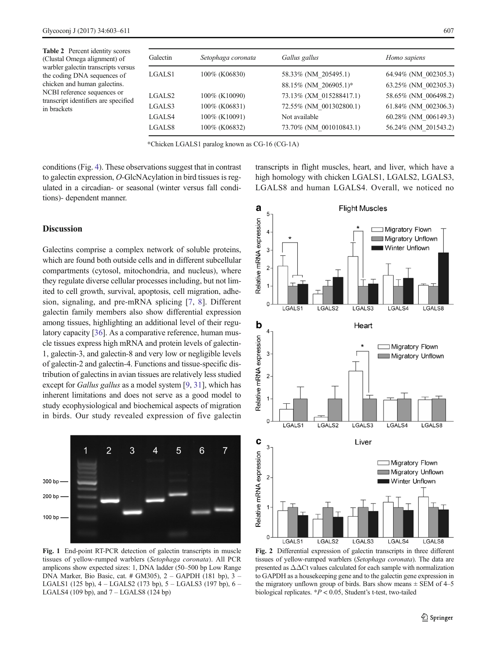<span id="page-4-0"></span>Table 2 Percent identity scores (Clustal Omega alignment) of warbler galectin transcripts versus the coding DNA sequences of chicken and human galectins. NCBI reference sequences or transcript identifiers are specified in brackets

| Galectin           | Setophaga coronata | Gallus gallus           | Homo sapiens         |
|--------------------|--------------------|-------------------------|----------------------|
| LGALS1             | 100% (K06830)      | 58.33% (NM 205495.1)    | 64.94% (NM 002305.3) |
|                    |                    | 88.15% (NM 206905.1)*   | 63.25% (NM 002305.3) |
| LGALS <sub>2</sub> | 100\% (K10090)     | 73.13% (XM 015288417.1) | 58.65% (NM 006498.2) |
| LGALS3             | 100% (K06831)      | 72.55% (NM 001302800.1) | 61.84% (NM 002306.3) |
| LGALS4             | 100% (K10091)      | Not available           | 60.28% (NM 006149.3) |
| LGALS8             | 100% (K06832)      | 73.70% (NM 001010843.1) | 56.24% (NM 201543.2) |

\*Chicken LGALS1 paralog known as CG-16 (CG-1A)

conditions (Fig. [4\)](#page-5-0). These observations suggest that in contrast to galectin expression, O-GlcNAcylation in bird tissues is regulated in a circadian- or seasonal (winter versus fall conditions)- dependent manner.

# **Discussion**

Galectins comprise a complex network of soluble proteins, which are found both outside cells and in different subcellular compartments (cytosol, mitochondria, and nucleus), where they regulate diverse cellular processes including, but not limited to cell growth, survival, apoptosis, cell migration, adhesion, signaling, and pre-mRNA splicing [[7,](#page-7-0) [8](#page-7-0)]. Different galectin family members also show differential expression among tissues, highlighting an additional level of their regulatory capacity [\[36](#page-7-0)]. As a comparative reference, human muscle tissues express high mRNA and protein levels of galectin-1, galectin-3, and galectin-8 and very low or negligible levels of galectin-2 and galectin-4. Functions and tissue-specific distribution of galectins in avian tissues are relatively less studied except for *Gallus gallus* as a model system [[9](#page-7-0), [31](#page-7-0)], which has inherent limitations and does not serve as a good model to study ecophysiological and biochemical aspects of migration in birds. Our study revealed expression of five galectin



Fig. 1 End-point RT-PCR detection of galectin transcripts in muscle tissues of yellow-rumped warblers (Setophaga coronata). All PCR amplicons show expected sizes: 1, DNA ladder (50–500 bp Low Range DNA Marker, Bio Basic, cat. # GM305), 2 – GAPDH (181 bp), 3 – LGALS1 (125 bp),  $4 -$ LGALS2 (173 bp),  $5 -$ LGALS3 (197 bp),  $6 -$ LGALS4 (109 bp), and 7 – LGALS8 (124 bp)



transcripts in flight muscles, heart, and liver, which have a high homology with chicken LGALS1, LGALS2, LGALS3, LGALS8 and human LGALS4. Overall, we noticed no

Fig. 2 Differential expression of galectin transcripts in three different tissues of yellow-rumped warblers (Setophaga coronata). The data are presented as ΔΔCt values calculated for each sample with normalization to GAPDH as a housekeeping gene and to the galectin gene expression in the migratory unflown group of birds. Bars show means  $\pm$  SEM of 4–5 biological replicates. \*P < 0.05, Student's t-test, two-tailed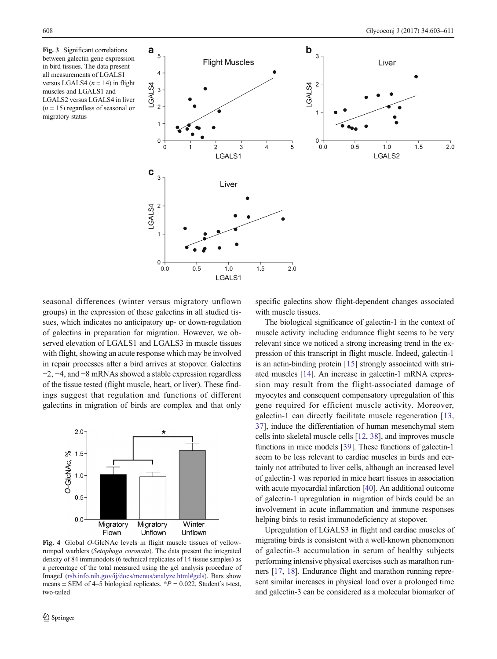<span id="page-5-0"></span>Fig. 3 Significant correlations between galectin gene expression in bird tissues. The data present all measurements of LGALS1 versus LGALS4 ( $n = 14$ ) in flight muscles and LGALS1 and LGALS2 versus LGALS4 in liver  $(n = 15)$  regardless of seasonal or migratory status



seasonal differences (winter versus migratory unflown groups) in the expression of these galectins in all studied tissues, which indicates no anticipatory up- or down-regulation of galectins in preparation for migration. However, we observed elevation of LGALS1 and LGALS3 in muscle tissues with flight, showing an acute response which may be involved in repair processes after a bird arrives at stopover. Galectins −2, −4, and −8 mRNAs showed a stable expression regardless of the tissue tested (flight muscle, heart, or liver). These findings suggest that regulation and functions of different galectins in migration of birds are complex and that only



Fig. 4 Global O-GlcNAc levels in flight muscle tissues of yellowrumped warblers (Setophaga coronata). The data present the integrated density of 84 immunodots (6 technical replicates of 14 tissue samples) as a percentage of the total measured using the gel analysis procedure of ImageJ ([rsb.info.](http://rsb.info)[nih.gov/ij/docs/menus/analyze.html#gels\)](http://nih.gov/ij/docs/menus/analyze.html%23gels). Bars show means  $\pm$  SEM of 4–5 biological replicates.  $P = 0.022$ , Student's t-test, two-tailed

specific galectins show flight-dependent changes associated with muscle tissues.

The biological significance of galectin-1 in the context of muscle activity including endurance flight seems to be very relevant since we noticed a strong increasing trend in the expression of this transcript in flight muscle. Indeed, galectin-1 is an actin-binding protein [[15](#page-7-0)] strongly associated with striated muscles [\[14\]](#page-7-0). An increase in galectin-1 mRNA expression may result from the flight-associated damage of myocytes and consequent compensatory upregulation of this gene required for efficient muscle activity. Moreover, galectin-1 can directly facilitate muscle regeneration [[13,](#page-7-0) [37\]](#page-8-0), induce the differentiation of human mesenchymal stem cells into skeletal muscle cells [[12,](#page-7-0) [38](#page-8-0)], and improves muscle functions in mice models [\[39](#page-8-0)]. These functions of galectin-1 seem to be less relevant to cardiac muscles in birds and certainly not attributed to liver cells, although an increased level of galectin-1 was reported in mice heart tissues in association with acute myocardial infarction [\[40](#page-8-0)]. An additional outcome of galectin-1 upregulation in migration of birds could be an involvement in acute inflammation and immune responses helping birds to resist immunodeficiency at stopover.

Upregulation of LGALS3 in flight and cardiac muscles of migrating birds is consistent with a well-known phenomenon of galectin-3 accumulation in serum of healthy subjects performing intensive physical exercises such as marathon runners [\[17](#page-7-0), [18\]](#page-7-0). Endurance flight and marathon running represent similar increases in physical load over a prolonged time and galectin-3 can be considered as a molecular biomarker of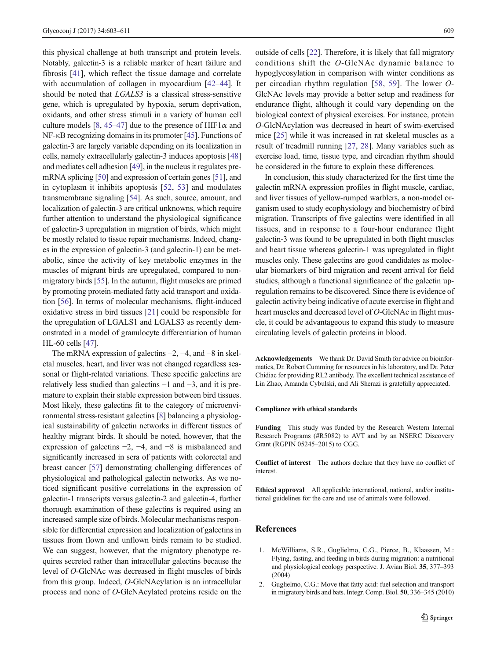<span id="page-6-0"></span>this physical challenge at both transcript and protein levels. Notably, galectin-3 is a reliable marker of heart failure and fibrosis [[41\]](#page-8-0), which reflect the tissue damage and correlate with accumulation of collagen in myocardium [\[42](#page-8-0)–[44\]](#page-8-0). It should be noted that LGALS3 is a classical stress-sensitive gene, which is upregulated by hypoxia, serum deprivation, oxidants, and other stress stimuli in a variety of human cell culture models [[8,](#page-7-0) [45](#page-8-0)–[47](#page-8-0)] due to the presence of HIF1 $\alpha$  and NF-κB recognizing domains in its promoter [[45](#page-8-0)]. Functions of galectin-3 are largely variable depending on its localization in cells, namely extracellularly galectin-3 induces apoptosis [\[48\]](#page-8-0) and mediates cell adhesion [\[49](#page-8-0)], in the nucleus it regulates premRNA splicing [\[50\]](#page-8-0) and expression of certain genes [[51](#page-8-0)], and in cytoplasm it inhibits apoptosis [[52](#page-8-0), [53\]](#page-8-0) and modulates transmembrane signaling [\[54\]](#page-8-0). As such, source, amount, and localization of galectin-3 are critical unknowns, which require further attention to understand the physiological significance of galectin-3 upregulation in migration of birds, which might be mostly related to tissue repair mechanisms. Indeed, changes in the expression of galectin-3 (and galectin-1) can be metabolic, since the activity of key metabolic enzymes in the muscles of migrant birds are upregulated, compared to nonmigratory birds [[55\]](#page-8-0). In the autumn, flight muscles are primed by promoting protein-mediated fatty acid transport and oxidation [[56](#page-8-0)]. In terms of molecular mechanisms, flight-induced oxidative stress in bird tissues [[21\]](#page-7-0) could be responsible for the upregulation of LGALS1 and LGALS3 as recently demonstrated in a model of granulocyte differentiation of human HL-60 cells [[47\]](#page-8-0).

The mRNA expression of galectins −2, −4, and −8 in skeletal muscles, heart, and liver was not changed regardless seasonal or flight-related variations. These specific galectins are relatively less studied than galectins −1 and −3, and it is premature to explain their stable expression between bird tissues. Most likely, these galectins fit to the category of microenvironmental stress-resistant galectins [[8\]](#page-7-0) balancing a physiological sustainability of galectin networks in different tissues of healthy migrant birds. It should be noted, however, that the expression of galectins −2, −4, and −8 is misbalanced and significantly increased in sera of patients with colorectal and breast cancer [[57\]](#page-8-0) demonstrating challenging differences of physiological and pathological galectin networks. As we noticed significant positive correlations in the expression of galectin-1 transcripts versus galectin-2 and galectin-4, further thorough examination of these galectins is required using an increased sample size of birds. Molecular mechanisms responsible for differential expression and localization of galectins in tissues from flown and unflown birds remain to be studied. We can suggest, however, that the migratory phenotype requires secreted rather than intracellular galectins because the level of O-GlcNAc was decreased in flight muscles of birds from this group. Indeed, O-GlcNAcylation is an intracellular process and none of O-GlcNAcylated proteins reside on the

outside of cells [\[22\]](#page-7-0). Therefore, it is likely that fall migratory conditions shift the O-GlcNAc dynamic balance to hypoglycosylation in comparison with winter conditions as per circadian rhythm regulation [[58,](#page-8-0) [59](#page-8-0)]. The lower O-GlcNAc levels may provide a better setup and readiness for endurance flight, although it could vary depending on the biological context of physical exercises. For instance, protein O-GlcNAcylation was decreased in heart of swim-exercised mice [\[25\]](#page-7-0) while it was increased in rat skeletal muscles as a result of treadmill running [[27](#page-7-0), [28\]](#page-7-0). Many variables such as exercise load, time, tissue type, and circadian rhythm should be considered in the future to explain these differences.

In conclusion, this study characterized for the first time the galectin mRNA expression profiles in flight muscle, cardiac, and liver tissues of yellow-rumped warblers, a non-model organism used to study ecophysiology and biochemistry of bird migration. Transcripts of five galectins were identified in all tissues, and in response to a four-hour endurance flight galectin-3 was found to be upregulated in both flight muscles and heart tissue whereas galectin-1 was upregulated in flight muscles only. These galectins are good candidates as molecular biomarkers of bird migration and recent arrival for field studies, although a functional significance of the galectin upregulation remains to be discovered. Since there is evidence of galectin activity being indicative of acute exercise in flight and heart muscles and decreased level of O-GlcNAc in flight muscle, it could be advantageous to expand this study to measure circulating levels of galectin proteins in blood.

Acknowledgements We thank Dr. David Smith for advice on bioinformatics, Dr. Robert Cumming for resources in his laboratory, and Dr. Peter Chidiac for providing RL2 antibody. The excellent technical assistance of Lin Zhao, Amanda Cybulski, and Ali Sherazi is gratefully appreciated.

#### Compliance with ethical standards

Funding This study was funded by the Research Western Internal Research Programs (#R5082) to AVT and by an NSERC Discovery Grant (RGPIN 05245–2015) to CGG.

Conflict of interest The authors declare that they have no conflict of interest.

Ethical approval All applicable international, national, and/or institutional guidelines for the care and use of animals were followed.

#### References

- 1. McWilliams, S.R., Guglielmo, C.G., Pierce, B., Klaassen, M.: Flying, fasting, and feeding in birds during migration: a nutritional and physiological ecology perspective. J. Avian Biol. 35, 377–393 (2004)
- 2. Guglielmo, C.G.: Move that fatty acid: fuel selection and transport in migratory birds and bats. Integr. Comp. Biol. 50, 336–345 (2010)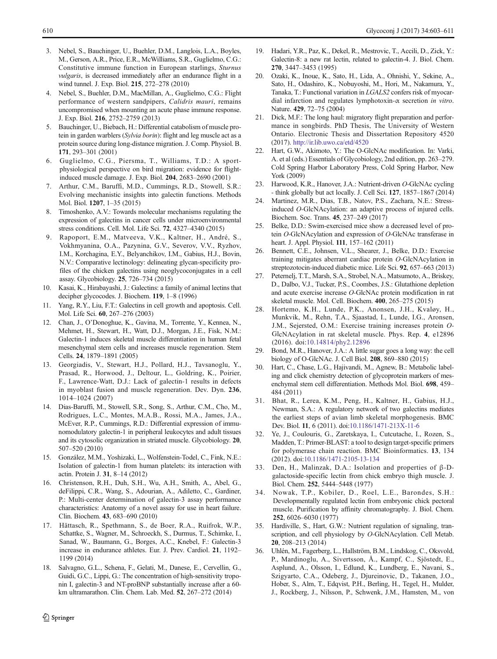- <span id="page-7-0"></span>3. Nebel, S., Bauchinger, U., Buehler, D.M., Langlois, L.A., Boyles, M., Gerson, A.R., Price, E.R., McWilliams, S.R., Guglielmo, C.G.: Constitutive immune function in European starlings, Sturnus vulgaris, is decreased immediately after an endurance flight in a wind tunnel. J. Exp. Biol. 215, 272–278 (2010)
- 4. Nebel, S., Buehler, D.M., MacMillan, A., Guglielmo, C.G.: Flight performance of western sandpipers, Calidris mauri, remains uncompromised when mounting an acute phase immune response. J. Exp. Biol. 216, 2752–2759 (2013)
- 5. Bauchinger, U., Biebach, H.: Differential catabolism of muscle protein in garden warblers (Sylvia borin): flight and leg muscle act as a protein source during long-distance migration. J. Comp. Physiol. B. 171, 293–301 (2001)
- 6. Guglielmo, C.G., Piersma, T., Williams, T.D.: A sportphysiological perspective on bird migration: evidence for flightinduced muscle damage. J. Exp. Biol. 204, 2683–2690 (2001)
- 7. Arthur, C.M., Baruffi, M.D., Cummings, R.D., Stowell, S.R.: Evolving mechanistic insights into galectin functions. Methods Mol. Biol. 1207, 1–35 (2015)
- 8. Timoshenko, A.V.: Towards molecular mechanisms regulating the expression of galectins in cancer cells under microenvironmental stress conditions. Cell. Mol. Life Sci. 72, 4327–4340 (2015)
- 9. Rapoport, E.M., Matveeva, V.K., Kaltner, H., André, S., Vokhmyanina, O.A., Pazynina, G.V., Severov, V.V., Ryzhov, I.M., Korchagina, E.Y., Belyanchikov, I.M., Gabius, H.J., Bovin, N.V.: Comparative lectinology: delineating glycan-specificity profiles of the chicken galectins using neoglycoconjugates in a cell assay. Glycobiology. 25, 726–734 (2015)
- 10. Kasai, K., Hirabayashi, J.: Galectins: a family of animal lectins that decipher glycocodes. J. Biochem. 119, 1–8 (1996)
- 11. Yang, R.Y., Liu, F.T.: Galectins in cell growth and apoptosis. Cell. Mol. Life Sci. 60, 267–276 (2003)
- 12. Chan, J., O'Donoghue, K., Gavina, M., Torrente, Y., Kennea, N., Mehmet, H., Stewart, H., Watt, D.J., Morgan, J.E., Fisk, N.M.: Galectin-1 induces skeletal muscle differentiation in human fetal mesenchymal stem cells and increases muscle regeneration. Stem Cells. 24, 1879–1891 (2005)
- 13. Georgiadis, V., Stewart, H.J., Pollard, H.J., Tavsanoglu, Y., Prasad, R., Horwood, J., Deltour, L., Goldring, K., Poirier, F., Lawrence-Watt, D.J.: Lack of galectin-1 results in defects in myoblast fusion and muscle regeneration. Dev. Dyn. 236, 1014–1024 (2007)
- 14. Dias-Baruffi, M., Stowell, S.R., Song, S., Arthur, C.M., Cho, M., Rodrigues, L.C., Montes, M.A.B., Rossi, M.A., James, J.A., McEver, R.P., Cummings, R.D.: Differential expression of immunomodulatory galectin-1 in peripheral leukocytes and adult tissues and its cytosolic organization in striated muscle. Glycobiology. 20, 507–520 (2010)
- 15. González, M.M., Yoshizaki, L., Wolfenstein-Todel, C., Fink, N.E.: Isolation of galectin-1 from human platelets: its interaction with actin. Protein J. 31, 8–14 (2012)
- 16. Christenson, R.H., Duh, S.H., Wu, A.H., Smith, A., Abel, G., deFilippi, C.R., Wang, S., Adourian, A., Adiletto, C., Gardiner, P.: Multi-center determination of galectin-3 assay performance characteristics: Anatomy of a novel assay for use in heart failure. Clin. Biochem. 43, 683–690 (2010)
- 17. Hättasch, R., Spethmann, S., de Boer, R.A., Ruifrok, W.P., Schattke, S., Wagner, M., Schroeckh, S., Durmus, T., Schimke, I., Sanad, W., Baumann, G., Borges, A.C., Knebel, F.: Galectin-3 increase in endurance athletes. Eur. J. Prev. Cardiol. 21, 1192– 1199 (2014)
- 18. Salvagno, G.L., Schena, F., Gelati, M., Danese, E., Cervellin, G., Guidi, G.C., Lippi, G.: The concentration of high-sensitivity troponin I, galectin-3 and NT-proBNP substantially increase after a 60 km ultramarathon. Clin. Chem. Lab. Med. 52, 267–272 (2014)
- 20. Ozaki, K., Inoue, K., Sato, H., Lida, A., Ohnishi, Y., Sekine, A., Sato, H., Odashiro, K., Nobuyoshi, M., Hori, M., Nakamura, Y., Tanaka, T.: Functional variation in LGALS2 confers risk of myocardial infarction and regulates lymphotoxin-α secretion in vitro. Nature. 429, 72–75 (2004)
- 21. Dick, M.F.: The long haul: migratory flight preparation and performance in songbirds. PhD Thesis, The University of Western Ontario. Electronic Thesis and Dissertation Repository 4520 (2017). <http://ir.lib.uwo.ca/etd/4520>
- 22. Hart, G.W., Akimoto, Y.: The O-GlcNAc modification. In: Varki, A. et al (eds.) Essentials of Glycobiology, 2nd edition, pp. 263–279. Cold Spring Harbor Laboratory Press, Cold Spring Harbor, New York (2009)
- 23. Harwood, K.R., Hanover, J.A.: Nutrient-driven O-GlcNAc cycling - think globally but act locally. J. Cell Sci. 127, 1857–1867 (2014)
- 24. Martinez, M.R., Dias, T.B., Natov, P.S., Zachara, N.E.: Stressinduced O-GlcNAcylation: an adaptive process of injured cells. Biochem. Soc. Trans. 45, 237–249 (2017)
- 25. Belke, D.D.: Swim-exercised mice show a decreased level of protein O-GlcNAcylation and expression of O-GlcNAc transferase in heart. J. Appl. Physiol. 111, 157–162 (2011)
- 26. Bennett, C.E., Johnsen, V.L., Shearer, J., Belke, D.D.: Exercise training mitigates aberrant cardiac protein O-GlcNAcylation in streptozotocin-induced diabetic mice. Life Sci. 92, 657–663 (2013)
- 27. Peternelj, T.T., Marsh, S.A., Strobel, N.A., Matsumoto, A., Briskey, D., Dalbo, V.J., Tucker, P.S., Coombes, J.S.: Glutathione depletion and acute exercise increase O-GlcNAc protein modification in rat skeletal muscle. Mol. Cell. Biochem. 400, 265–275 (2015)
- 28. Hortemo, K.H., Lunde, P.K., Anonsen, J.H., Kvaløy, H., Munkvik, M., Rehn, T.A., Sjaastad, I., Lunde, I.G., Aronsen, J.M., Sejersted, O.M.: Exercise training increases protein O-GlcNAcylation in rat skeletal muscle. Phys. Rep. 4, e12896 (2016). doi:[10.14814/phy2.12896](http://dx.doi.org/10.14814/phy2.12896)
- 29. Bond, M.R., Hanover, J.A.: A little sugar goes a long way: the cell biology of O-GlcNAc. J. Cell Biol. 208, 869–880 (2015)
- 30. Hart, C., Chase, L.G., Hajivandi, M., Agnew, B.: Metabolic labeling and click chemistry detection of glycoprotein markers of mesenchymal stem cell differentiation. Methods Mol. Biol. 698, 459– 484 (2011)
- 31. Bhat, R., Lerea, K.M., Peng, H., Kaltner, H., Gabius, H.J., Newman, S.A.: A regulatory network of two galectins mediates the earliest steps of avian limb skeletal morphogenesis. BMC Dev. Biol. 11, 6 (2011). doi[:10.1186/1471-213X-11-6](http://dx.doi.org/10.1186/1471-213X-11-6)
- 32. Ye, J., Coulouris, G., Zaretskaya, I., Cutcutache, I., Rozen, S., Madden, T.: Primer-BLAST: a tool to design target-specific primers for polymerase chain reaction. BMC Bioinformatics. 13, 134 (2012). doi[:10.1186/1471-2105-13-134](http://dx.doi.org/10.1186/1471-2105-13-134)
- 33. Den, H., Malinzak, D.A.: Isolation and properties of β-Dgalactoside-specific lectin from chick embryo thigh muscle. J. Biol. Chem. 252, 5444–5448 (1977)
- 34. Nowak, T.P., Kobiler, D., Roel, L.E., Barondes, S.H.: Developmentally regulated lectin from embryonic chick pectoral muscle. Purification by affinity chromatography. J. Biol. Chem. 252, 6026–6030 (1977)
- 35. Hardiville, S., Hart, G.W.: Nutrient regulation of signaling, transcription, and cell physiology by O-GlcNAcylation. Cell Metab. 20, 208–213 (2014)
- 36. Uhlén, M., Fagerberg, L., Hallström, B.M., Lindskog, C., Oksvold, P., Mardinoglu, A., Sivertsson, Å., Kampf, C., Sjöstedt, E., Asplund, A., Olsson, I., Edlund, K., Lundberg, E., Navani, S., Szigyarto, C.A., Odeberg, J., Djureinovic, D., Takanen, J.O., Hober, S., Alm, T., Edqvist, P.H., Berling, H., Tegel, H., Mulder, J., Rockberg, J., Nilsson, P., Schwenk, J.M., Hamsten, M., von